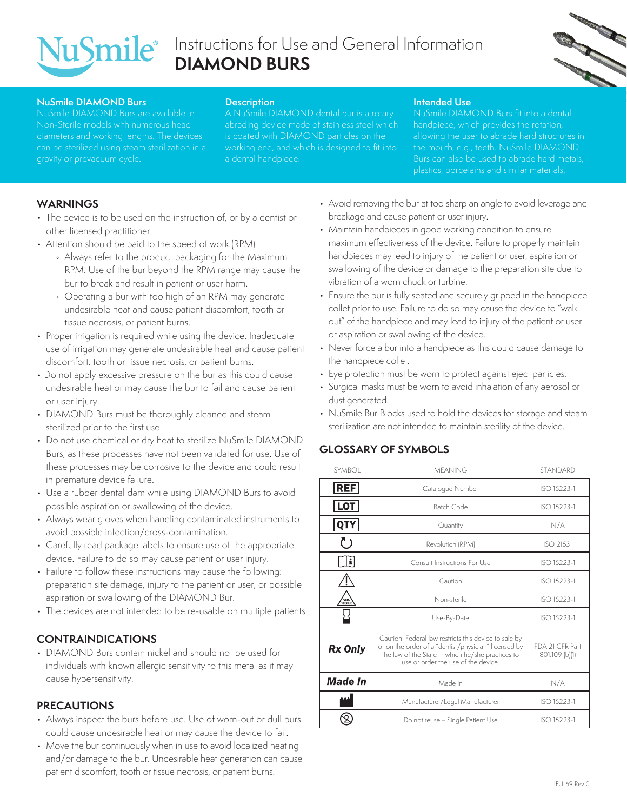

# Instructions for Use and General Information **DIAMOND BURS**



#### **NuSmile DIAMOND Burs**

Non-Sterile models with numerous head gravity or prevacuum cycle.

#### **Description**

A NuSmile DIAMOND dental bur is a rotary is coated with DIAMOND particles on the a dental handpiece.

#### **Intended Use**

NuSmile DIAMOND Burs fit into a dental Burs can also be used to abrade hard metals,

## **WARNINGS**

- The device is to be used on the instruction of, or by a dentist or other licensed practitioner.
- Attention should be paid to the speed of work (RPM)
	- Always refer to the product packaging for the Maximum RPM. Use of the bur beyond the RPM range may cause the bur to break and result in patient or user harm.
	- Operating a bur with too high of an RPM may generate undesirable heat and cause patient discomfort, tooth or tissue necrosis, or patient burns.
- Proper irrigation is required while using the device. Inadequate use of irrigation may generate undesirable heat and cause patient discomfort, tooth or tissue necrosis, or patient burns.
- Do not apply excessive pressure on the bur as this could cause undesirable heat or may cause the bur to fail and cause patient or user injury.
- DIAMOND Burs must be thoroughly cleaned and steam sterilized prior to the first use.
- Do not use chemical or dry heat to sterilize NuSmile DIAMOND Burs, as these processes have not been validated for use. Use of these processes may be corrosive to the device and could result in premature device failure.
- Use a rubber dental dam while using DIAMOND Burs to avoid possible aspiration or swallowing of the device.
- Always wear gloves when handling contaminated instruments to avoid possible infection/cross-contamination.
- Carefully read package labels to ensure use of the appropriate device. Failure to do so may cause patient or user injury.
- Failure to follow these instructions may cause the following: preparation site damage, injury to the patient or user, or possible aspiration or swallowing of the DIAMOND Bur.
- The devices are not intended to be re-usable on multiple patients

# **CONTRAINDICATIONS**

• DIAMOND Burs contain nickel and should not be used for individuals with known allergic sensitivity to this metal as it may cause hypersensitivity.

#### **PRECAUTIONS**

- Always inspect the burs before use. Use of worn-out or dull burs could cause undesirable heat or may cause the device to fail.
- Move the bur continuously when in use to avoid localized heating and/or damage to the bur. Undesirable heat generation can cause patient discomfort, tooth or tissue necrosis, or patient burns.
- Avoid removing the bur at too sharp an angle to avoid leverage and breakage and cause patient or user injury.
- Maintain handpieces in good working condition to ensure maximum effectiveness of the device. Failure to properly maintain handpieces may lead to injury of the patient or user, aspiration or swallowing of the device or damage to the preparation site due to vibration of a worn chuck or turbine.
- Ensure the bur is fully seated and securely gripped in the handpiece collet prior to use. Failure to do so may cause the device to "walk out" of the handpiece and may lead to injury of the patient or user or aspiration or swallowing of the device.
- Never force a bur into a handpiece as this could cause damage to the handpiece collet.
- Eye protection must be worn to protect against eject particles.
- Surgical masks must be worn to avoid inhalation of any aerosol or dust generated.
- NuSmile Bur Blocks used to hold the devices for storage and steam sterilization are not intended to maintain sterility of the device.

## **GLOSSARY OF SYMBOLS**

| <b>SYMBOL</b>  | <b>MFANING</b>                                                                                                                                                                                            | <b>STANDARD</b>                   |
|----------------|-----------------------------------------------------------------------------------------------------------------------------------------------------------------------------------------------------------|-----------------------------------|
| <b>REF</b>     | Cataloque Number                                                                                                                                                                                          | ISO 15223-1                       |
| <b>LOT</b>     | Batch Code                                                                                                                                                                                                | ISO 15223-1                       |
| <b>QTY</b>     | Quantity                                                                                                                                                                                                  | N/A                               |
| ( 5            | Revolution (RPM)                                                                                                                                                                                          | ISO 21531                         |
| Ŀ              | Consult Instructions For Use                                                                                                                                                                              | ISO 15223-1                       |
|                | Caution                                                                                                                                                                                                   | ISO 15223-1                       |
| NON            | Non-sterile                                                                                                                                                                                               | ISO 15223-1                       |
|                | Use-By-Date                                                                                                                                                                                               | ISO 15223-1                       |
| <b>Rx Only</b> | Caution: Federal law restricts this device to sale by<br>or on the order of a "dentist/physician" licensed by<br>the law of the State in which he/she practices to<br>use or order the use of the device. | FDA 21 CFR Part<br>801.109 (b)(1) |
| <b>Made In</b> | Made in                                                                                                                                                                                                   | N/A                               |
|                | Manufacturer/Legal Manufacturer                                                                                                                                                                           | ISO 15223-1                       |
|                | Do not reuse - Single Patient Use                                                                                                                                                                         | ISO 15223-1                       |